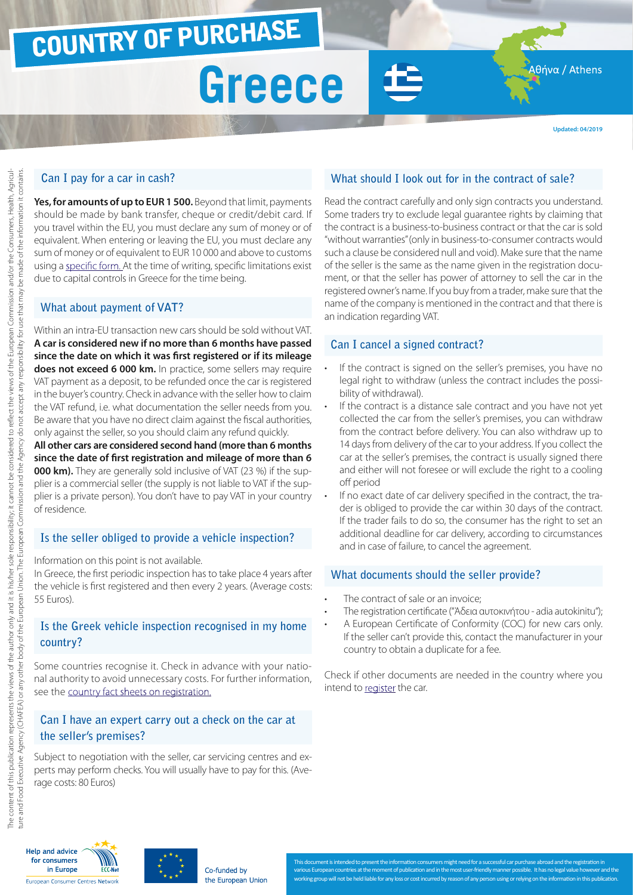### COUNTRY OF PURCHASE

## **Greece**

**Updated: 04/2019**

Αθήνα / Athens

### **Can I pay for a car in cash?**

Yes, for amounts of up to EUR 1 500. Beyond that limit, payments should be made by bank transfer, cheque or credit/debit card. If you travel within the EU, you must declare any sum of money or of equivalent. When entering or leaving the EU, you must declare any sum of money or of equivalent to EUR 10 000 and above to customs using a [specific form.](http://ec.europa.eu/taxation_customs/resources/documents/customs/customs_controls/cash_controls/declaration_forms/declaration_form_el_el.pdf) At the time of writing, specific limitations exist due to capital controls in Greece for the time being.

### **What about payment of VAT?**

Within an intra-EU transaction new cars should be sold without VAT. **A car is considered new if no more than 6 months have passed since the date on which it was first registered or if its mileage does not exceed 6 000 km.** In practice, some sellers may require VAT payment as a deposit, to be refunded once the car is registered in the buyer's country. Check in advance with the seller how to claim the VAT refund, i.e. what documentation the seller needs from you. Be aware that you have no direct claim against the fiscal authorities, only against the seller, so you should claim any refund quickly.

**All other cars are considered second hand (more than 6 months since the date of first registration and mileage of more than 6 000 km).** They are generally sold inclusive of VAT (23 %) if the supplier is a commercial seller (the supply is not liable to VAT if the supplier is a private person). You don't have to pay VAT in your country of residence.

### **Is the seller obliged to provide a vehicle inspection?**

Information on this point is not available.

In Greece, the first periodic inspection has to take place 4 years after the vehicle is first registered and then every 2 years. (Average costs: 55 Euros).

### **Is the Greek vehicle inspection recognised in my home country?**

Some countries recognise it. Check in advance with your national authority to avoid unnecessary costs. For further information, see the [country fact sheets on registration.](http://www.europe-consommateurs.eu/en/consumer-topics/on-the-road/buying-a-car/cross-border-car-purchase-and-registration/)

### **Can I have an expert carry out a check on the car at the seller's premises?**

Subject to negotiation with the seller, car servicing centres and experts may perform checks. You will usually have to pay for this. (Average costs: 80 Euros)

### **What should I look out for in the contract of sale?**

Read the contract carefully and only sign contracts you understand. Some traders try to exclude legal guarantee rights by claiming that the contract is a business-to-business contract or that the car is sold "without warranties" (only in business-to-consumer contracts would such a clause be considered null and void). Make sure that the name of the seller is the same as the name given in the registration document, or that the seller has power of attorney to sell the car in the registered owner's name. If you buy from a trader, make sure that the name of the company is mentioned in the contract and that there is an indication regarding VAT.

### **Can I cancel a signed contract?**

- If the contract is signed on the seller's premises, you have no legal right to withdraw (unless the contract includes the possibility of withdrawal).
- If the contract is a distance sale contract and you have not yet collected the car from the seller's premises, you can withdraw from the contract before delivery. You can also withdraw up to 14 days from delivery of the car to your address. If you collect the car at the seller's premises, the contract is usually signed there and either will not foresee or will exclude the right to a cooling off period
- If no exact date of car delivery specified in the contract, the trader is obliged to provide the car within 30 days of the contract. If the trader fails to do so, the consumer has the right to set an additional deadline for car delivery, according to circumstances and in case of failure, to cancel the agreement.

### **What documents should the seller provide?**

- The contract of sale or an invoice:
- The registration certificate ("Άδεια αυτοκινήτου adia autokinitu");
- A European Certificate of Conformity (COC) for new cars only. If the seller can't provide this, contact the manufacturer in your country to obtain a duplicate for a fee.

Check if other documents are needed in the country where you intend to [register](http://www.europe-consommateurs.eu/en/consumer-topics/on-the-road/buying-a-car/cross-border-car-purchase-and-registration/) the car.